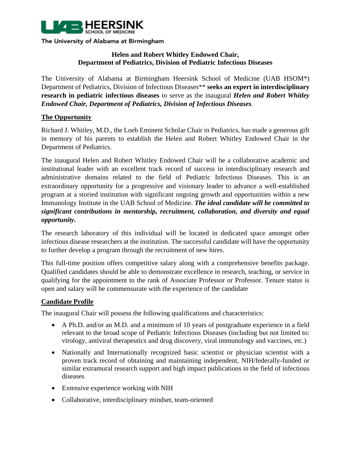

# **Helen and Robert Whitley Endowed Chair, Department of Pediatrics, Division of Pediatric Infectious Diseases**

The University of Alabama at Birmingham Heersink School of Medicine (UAB HSOM\*) Department of Pediatrics, Division of Infectious Diseases\*\* **seeks an expert in interdisciplinary research in pediatric infectious diseases** to serve as the inaugural *Helen and Robert Whitley Endowed Chair, Department of Pediatrics, Division of Infectious Diseases.* 

### **The Opportunity**

Richard J. Whitley, M.D., the Loeb Eminent Scholar Chair in Pediatrics, has made a generous gift in memory of his parents to establish the Helen and Robert Whitley Endowed Chair in the Department of Pediatrics.

The inaugural Helen and Robert Whitley Endowed Chair will be a collaborative academic and institutional leader with an excellent track record of success in interdisciplinary research and administrative domains related to the field of Pediatric Infectious Diseases. This is an extraordinary opportunity for a progressive and visionary leader to advance a well-established program at a storied institution with significant ongoing growth and opportunities within a new Immunology Institute in the UAB School of Medicine. *The ideal candidate will be committed to significant contributions in mentorship, recruitment, collaboration, and diversity and equal opportunity.*

The research laboratory of this individual will be located in dedicated space amongst other infectious disease researchers at the institution. The successful candidate will have the opportunity to further develop a program through the recruitment of new hires.

This full-time position offers competitive salary along with a comprehensive benefits package. Qualified candidates should be able to demonstrate excellence in research, teaching, or service in qualifying for the appointment to the rank of Associate Professor or Professor. Tenure status is open and salary will be commensurate with the experience of the candidate

# **Candidate Profile**

The inaugural Chair will possess the following qualifications and characteristics:

- A Ph.D. and/or an M.D. and a minimum of 10 years of postgraduate experience in a field relevant to the broad scope of Pediatric Infectious Diseases (including but not limited to: virology, antiviral therapeutics and drug discovery, viral immunology and vaccines, etc.)
- Nationally and Internationally recognized basic scientist or physician scientist with a proven track record of obtaining and maintaining independent, NIH/federally-funded or similar extramural research support and high impact publications in the field of infectious diseases
- Extensive experience working with NIH
- Collaborative, interdisciplinary mindset, team-oriented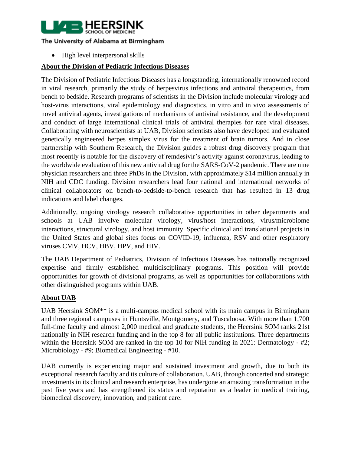

• High level interpersonal skills

# **About the Division of Pediatric Infectious Diseases**

The Division of Pediatric Infectious Diseases has a longstanding, internationally renowned record in viral research, primarily the study of herpesvirus infections and antiviral therapeutics, from bench to bedside. Research programs of scientists in the Division include molecular virology and host-virus interactions, viral epidemiology and diagnostics, in vitro and in vivo assessments of novel antiviral agents, investigations of mechanisms of antiviral resistance, and the development and conduct of large international clinical trials of antiviral therapies for rare viral diseases. Collaborating with neuroscientists at UAB, Division scientists also have developed and evaluated genetically engineered herpes simplex virus for the treatment of brain tumors. And in close partnership with Southern Research, the Division guides a robust drug discovery program that most recently is notable for the discovery of remdesivir's activity against coronavirus, leading to the worldwide evaluation of this new antiviral drug for the SARS-CoV-2 pandemic. There are nine physician researchers and three PhDs in the Division, with approximately \$14 million annually in NIH and CDC funding. Division researchers lead four national and international networks of clinical collaborators on bench-to-bedside-to-bench research that has resulted in 13 drug indications and label changes.

Additionally, ongoing virology research collaborative opportunities in other departments and schools at UAB involve molecular virology, virus/host interactions, virus/microbiome interactions, structural virology, and host immunity. Specific clinical and translational projects in the United States and global sites focus on COVID-19, influenza, RSV and other respiratory viruses CMV, HCV, HBV, HPV, and HIV.

The UAB Department of Pediatrics, Division of Infectious Diseases has nationally recognized expertise and firmly established multidisciplinary programs. This position will provide opportunities for growth of divisional programs, as well as opportunities for collaborations with other distinguished programs within UAB.

# **About UAB**

UAB Heersink SOM\*\* is a multi-campus medical school with its main campus in Birmingham and three regional campuses in Huntsville, Montgomery, and Tuscaloosa. With more than 1,700 full-time faculty and almost 2,000 medical and graduate students, the Heersink SOM ranks 21st nationally in NIH research funding and in the top 8 for all public institutions. Three departments within the Heersink SOM are ranked in the top 10 for NIH funding in 2021: Dermatology - #2; Microbiology - #9; Biomedical Engineering - #10.

UAB currently is experiencing major and sustained investment and growth, due to both its exceptional research faculty and its culture of collaboration. UAB, through concerted and strategic investments in its clinical and research enterprise, has undergone an amazing transformation in the past five years and has strengthened its status and reputation as a leader in medical training, biomedical discovery, innovation, and patient care.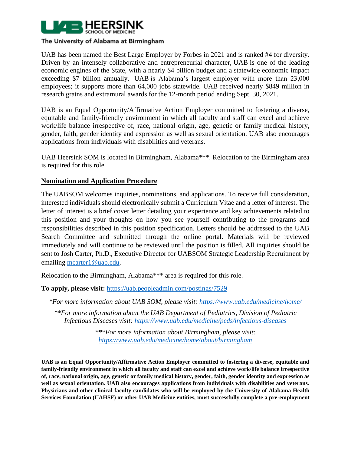

UAB has been named the Best Large Employer by Forbes in 2021 and is ranked #4 for diversity. Driven by an intensely collaborative and entrepreneurial character, UAB is one of the leading economic engines of the State, with a nearly \$4 billion budget and a statewide economic impact exceeding \$7 billion annually. UAB is Alabama's largest employer with more than 23,000 employees; it supports more than 64,000 jobs statewide. UAB received nearly \$849 million in research gratns and extramural awards for the 12-month period ending Sept. 30, 2021.

UAB is an Equal Opportunity/Affirmative Action Employer committed to fostering a diverse, equitable and family-friendly environment in which all faculty and staff can excel and achieve work/life balance irrespective of, race, national origin, age, genetic or family medical history, gender, faith, gender identity and expression as well as sexual orientation. UAB also encourages applications from individuals with disabilities and veterans.

UAB Heersink SOM is located in Birmingham, Alabama\*\*\*. Relocation to the Birmingham area is required for this role.

# **Nomination and Application Procedure**

The UABSOM welcomes inquiries, nominations, and applications. To receive full consideration, interested individuals should electronically submit a Curriculum Vitae and a letter of interest. The letter of interest is a brief cover letter detailing your experience and key achievements related to this position and your thoughts on how you see yourself contributing to the programs and responsibilities described in this position specification. Letters should be addressed to the UAB Search Committee and submitted through the online portal. Materials will be reviewed immediately and will continue to be reviewed until the position is filled. All inquiries should be sent to Josh Carter, Ph.D., Executive Director for UABSOM Strategic Leadership Recruitment by emailing [mcarter1@uab.edu.](mailto:mcarter1@uab.edu)

Relocation to the Birmingham, Alabama\*\*\* area is required for this role.

**To apply, please visit:** <https://uab.peopleadmin.com/postings/7529>

*\*For more information about UAB SOM, please visit:<https://www.uab.edu/medicine/home/>*

*\*\*For more information about the UAB Department of Pediatrics, Division of Pediatric Infectious Diseases visit:<https://www.uab.edu/medicine/peds/infectious-diseases>*

> *\*\*\*For more information about Birmingham, please visit: <https://www.uab.edu/medicine/home/about/birmingham>*

**UAB is an Equal Opportunity/Affirmative Action Employer committed to fostering a diverse, equitable and family-friendly environment in which all faculty and staff can excel and achieve work/life balance irrespective of, race, national origin, age, genetic or family medical history, gender, faith, gender identity and expression as well as sexual orientation. UAB also encourages applications from individuals with disabilities and veterans. Physicians and other clinical faculty candidates who will be employed by the University of Alabama Health Services Foundation (UAHSF) or other UAB Medicine entities, must successfully complete a pre-employment**